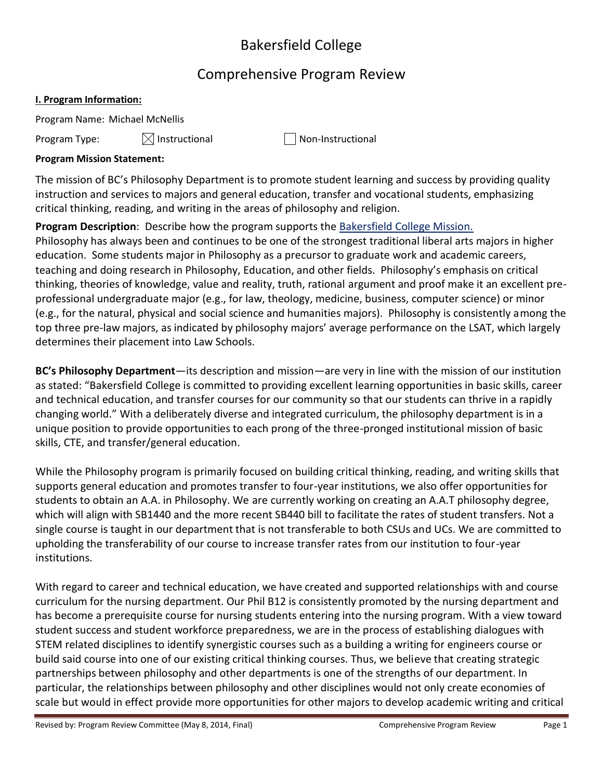# Bakersfield College

# Comprehensive Program Review

# **I. Program Information:**

Program Name: Michael McNellis

Program Type:  $\boxtimes$  Instructional  $\Box$  Non-Instructional

# **Program Mission Statement:**

The mission of BC's Philosophy Department is to promote student learning and success by providing quality instruction and services to majors and general education, transfer and vocational students, emphasizing critical thinking, reading, and writing in the areas of philosophy and religion.

**Program Description**: Describe how the program supports the Bakersfield College Mission. Philosophy has always been and continues to be one of the strongest traditional liberal arts majors in higher education. Some students major in Philosophy as a precursor to graduate work and academic careers, teaching and doing research in Philosophy, Education, and other fields. Philosophy's emphasis on critical thinking, theories of knowledge, value and reality, truth, rational argument and proof make it an excellent preprofessional undergraduate major (e.g., for law, theology, medicine, business, computer science) or minor (e.g., for the natural, physical and social science and humanities majors). Philosophy is consistently among the top three pre-law majors, as indicated by philosophy majors' average performance on the LSAT, which largely determines their placement into Law Schools.

**BC's Philosophy Department**—its description and mission—are very in line with the mission of our institution as stated: "Bakersfield College is committed to providing excellent learning opportunities in basic skills, career and technical education, and transfer courses for our community so that our students can thrive in a rapidly changing world." With a deliberately diverse and integrated curriculum, the philosophy department is in a unique position to provide opportunities to each prong of the three-pronged institutional mission of basic skills, CTE, and transfer/general education.

While the Philosophy program is primarily focused on building critical thinking, reading, and writing skills that supports general education and promotes transfer to four-year institutions, we also offer opportunities for students to obtain an A.A. in Philosophy. We are currently working on creating an A.A.T philosophy degree, which will align with SB1440 and the more recent SB440 bill to facilitate the rates of student transfers. Not a single course is taught in our department that is not transferable to both CSUs and UCs. We are committed to upholding the transferability of our course to increase transfer rates from our institution to four-year institutions.

With regard to career and technical education, we have created and supported relationships with and course curriculum for the nursing department. Our Phil B12 is consistently promoted by the nursing department and has become a prerequisite course for nursing students entering into the nursing program. With a view toward student success and student workforce preparedness, we are in the process of establishing dialogues with STEM related disciplines to identify synergistic courses such as a building a writing for engineers course or build said course into one of our existing critical thinking courses. Thus, we believe that creating strategic partnerships between philosophy and other departments is one of the strengths of our department. In particular, the relationships between philosophy and other disciplines would not only create economies of scale but would in effect provide more opportunities for other majors to develop academic writing and critical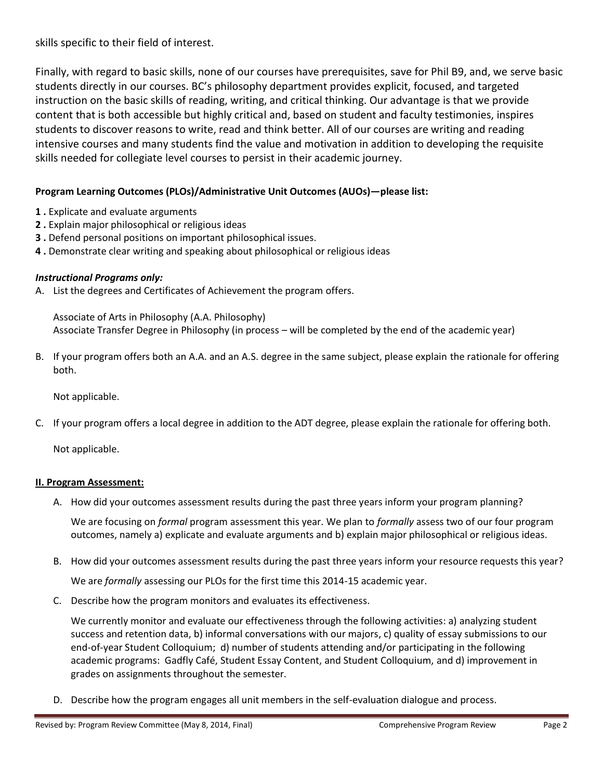skills specific to their field of interest.

Finally, with regard to basic skills, none of our courses have prerequisites, save for Phil B9, and, we serve basic students directly in our courses. BC's philosophy department provides explicit, focused, and targeted instruction on the basic skills of reading, writing, and critical thinking. Our advantage is that we provide content that is both accessible but highly critical and, based on student and faculty testimonies, inspires students to discover reasons to write, read and think better. All of our courses are writing and reading intensive courses and many students find the value and motivation in addition to developing the requisite skills needed for collegiate level courses to persist in their academic journey.

# **Program Learning Outcomes (PLOs)/Administrative Unit Outcomes (AUOs)—please list:**

- **1 .** Explicate and evaluate arguments
- **2 .** Explain major philosophical or religious ideas
- **3 .** Defend personal positions on important philosophical issues.
- **4 .** Demonstrate clear writing and speaking about philosophical or religious ideas

## *Instructional Programs only:*

A. List the degrees and Certificates of Achievement the program offers.

Associate of Arts in Philosophy (A.A. Philosophy) Associate Transfer Degree in Philosophy (in process – will be completed by the end of the academic year)

B. If your program offers both an A.A. and an A.S. degree in the same subject, please explain the rationale for offering both.

Not applicable.

C. If your program offers a local degree in addition to the ADT degree, please explain the rationale for offering both.

Not applicable.

## **II. Program Assessment:**

A. How did your outcomes assessment results during the past three years inform your program planning?

We are focusing on *formal* program assessment this year. We plan to *formally* assess two of our four program outcomes, namely a) explicate and evaluate arguments and b) explain major philosophical or religious ideas.

B. How did your outcomes assessment results during the past three years inform your resource requests this year?

We are *formally* assessing our PLOs for the first time this 2014-15 academic year.

C. Describe how the program monitors and evaluates its effectiveness.

We currently monitor and evaluate our effectiveness through the following activities: a) analyzing student success and retention data, b) informal conversations with our majors, c) quality of essay submissions to our end-of-year Student Colloquium; d) number of students attending and/or participating in the following academic programs: Gadfly Café, Student Essay Content, and Student Colloquium, and d) improvement in grades on assignments throughout the semester.

D. Describe how the program engages all unit members in the self-evaluation dialogue and process.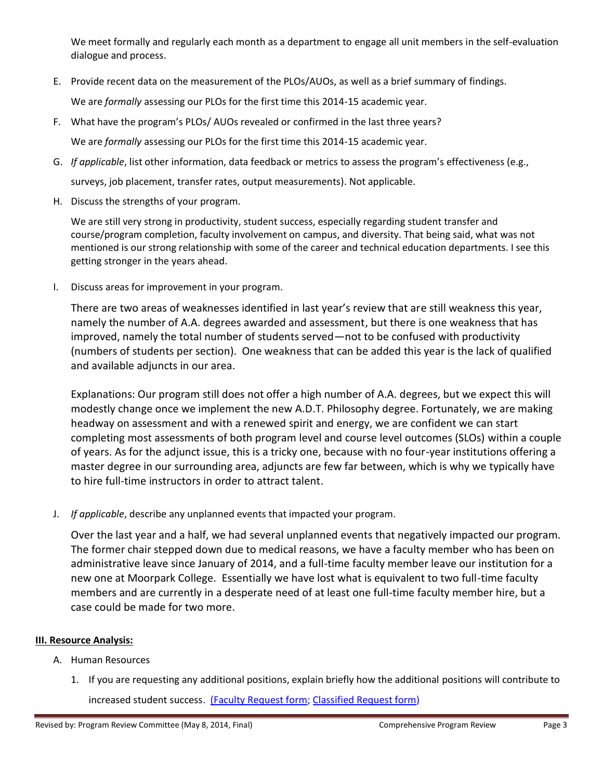We meet formally and regularly each month as a department to engage all unit members in the self-evaluation dialogue and process.

E. Provide recent data on the measurement of the PLOs/AUOs, as well as a brief summary of findings.

We are *formally* assessing our PLOs for the first time this 2014-15 academic year.

- F. What have the program's PLOs/ AUOs revealed or confirmed in the last three years? We are *formally* assessing our PLOs for the first time this 2014-15 academic year.
- G. *If applicable*, list other information, data feedback or metrics to assess the program's effectiveness (e.g., surveys, job placement, transfer rates, output measurements). Not applicable.
- H. Discuss the strengths of your program.

We are still very strong in productivity, student success, especially regarding student transfer and course/program completion, faculty involvement on campus, and diversity. That being said, what was not mentioned is our strong relationship with some of the career and technical education departments. I see this getting stronger in the years ahead.

I. Discuss areas for improvement in your program.

There are two areas of weaknesses identified in last year's review that are still weakness this year, namely the number of A.A. degrees awarded and assessment, but there is one weakness that has improved, namely the total number of students served—not to be confused with productivity (numbers of students per section). One weakness that can be added this year is the lack of qualified and available adjuncts in our area.

Explanations: Our program still does not offer a high number of A.A. degrees, but we expect this will modestly change once we implement the new A.D.T. Philosophy degree. Fortunately, we are making headway on assessment and with a renewed spirit and energy, we are confident we can start completing most assessments of both program level and course level outcomes (SLOs) within a couple of years. As for the adjunct issue, this is a tricky one, because with no four-year institutions offering a master degree in our surrounding area, adjuncts are few far between, which is why we typically have to hire full-time instructors in order to attract talent.

J. *If applicable*, describe any unplanned events that impacted your program.

Over the last year and a half, we had several unplanned events that negatively impacted our program. The former chair stepped down due to medical reasons, we have a faculty member who has been on administrative leave since January of 2014, and a full-time faculty member leave our institution for a new one at Moorpark College. Essentially we have lost what is equivalent to two full-time faculty members and are currently in a desperate need of at least one full-time faculty member hire, but a case could be made for two more.

## **III. Resource Analysis:**

- A. Human Resources
	- 1. If you are requesting any additional positions, explain briefly how the additional positions will contribute to increased student success. (Faculty Request form; Classified Request form)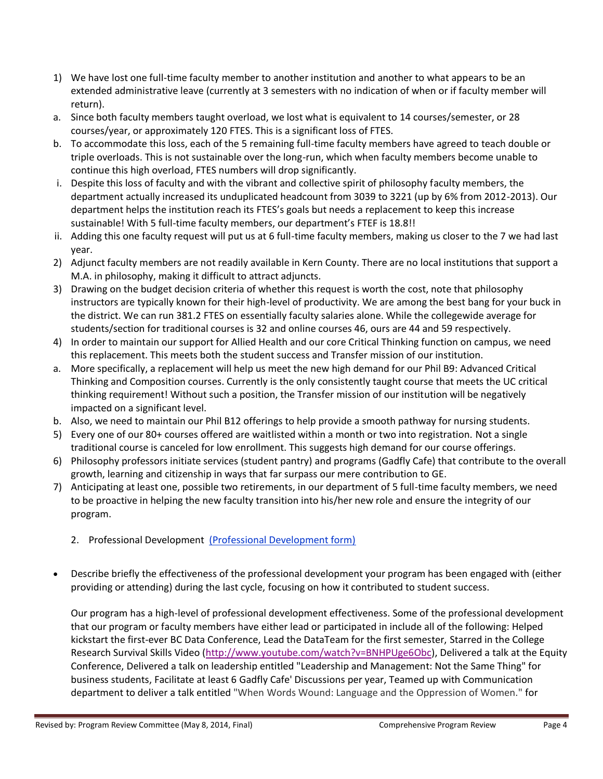- 1) We have lost one full-time faculty member to another institution and another to what appears to be an extended administrative leave (currently at 3 semesters with no indication of when or if faculty member will return).
- a. Since both faculty members taught overload, we lost what is equivalent to 14 courses/semester, or 28 courses/year, or approximately 120 FTES. This is a significant loss of FTES.
- b. To accommodate this loss, each of the 5 remaining full-time faculty members have agreed to teach double or triple overloads. This is not sustainable over the long-run, which when faculty members become unable to continue this high overload, FTES numbers will drop significantly.
- i. Despite this loss of faculty and with the vibrant and collective spirit of philosophy faculty members, the department actually increased its unduplicated headcount from 3039 to 3221 (up by 6% from 2012-2013). Our department helps the institution reach its FTES's goals but needs a replacement to keep this increase sustainable! With 5 full-time faculty members, our department's FTEF is 18.8!!
- ii. Adding this one faculty request will put us at 6 full-time faculty members, making us closer to the 7 we had last year.
- 2) Adjunct faculty members are not readily available in Kern County. There are no local institutions that support a M.A. in philosophy, making it difficult to attract adjuncts.
- 3) Drawing on the budget decision criteria of whether this request is worth the cost, note that philosophy instructors are typically known for their high-level of productivity. We are among the best bang for your buck in the district. We can run 381.2 FTES on essentially faculty salaries alone. While the collegewide average for students/section for traditional courses is 32 and online courses 46, ours are 44 and 59 respectively.
- 4) In order to maintain our support for Allied Health and our core Critical Thinking function on campus, we need this replacement. This meets both the student success and Transfer mission of our institution.
- a. More specifically, a replacement will help us meet the new high demand for our Phil B9: Advanced Critical Thinking and Composition courses. Currently is the only consistently taught course that meets the UC critical thinking requirement! Without such a position, the Transfer mission of our institution will be negatively impacted on a significant level.
- b. Also, we need to maintain our Phil B12 offerings to help provide a smooth pathway for nursing students.
- 5) Every one of our 80+ courses offered are waitlisted within a month or two into registration. Not a single traditional course is canceled for low enrollment. This suggests high demand for our course offerings.
- 6) Philosophy professors initiate services (student pantry) and programs (Gadfly Cafe) that contribute to the overall growth, learning and citizenship in ways that far surpass our mere contribution to GE.
- 7) Anticipating at least one, possible two retirements, in our department of 5 full-time faculty members, we need to be proactive in helping the new faculty transition into his/her new role and ensure the integrity of our program.
	- 2. Professional Development (Professional Development form)
- Describe briefly the effectiveness of the professional development your program has been engaged with (either providing or attending) during the last cycle, focusing on how it contributed to student success.

Our program has a high-level of professional development effectiveness. Some of the professional development that our program or faculty members have either lead or participated in include all of the following: Helped kickstart the first-ever BC Data Conference, Lead the DataTeam for the first semester, Starred in the College Research Survival Skills Video [\(http://www.youtube.com/watch?v=BNHPUge6Obc\)](https://owa.kccd.edu/owa/redir.aspx?C=Ogj1Ri4daUyE2RyhDSCTQ-htc7FkqdEI2ASAoQ98L8In_Ckl34M6iQwQ_yGmJg6BwACzHxsrwqc.&URL=http%3a%2f%2fwww.youtube.com%2fwatch%3fv%3dBNHPUge6Obc), Delivered a talk at the Equity Conference, Delivered a talk on leadership entitled "Leadership and Management: Not the Same Thing" for business students, Facilitate at least 6 Gadfly Cafe' Discussions per year, Teamed up with Communication department to deliver a talk entitled "When Words Wound: Language and the Oppression of Women." for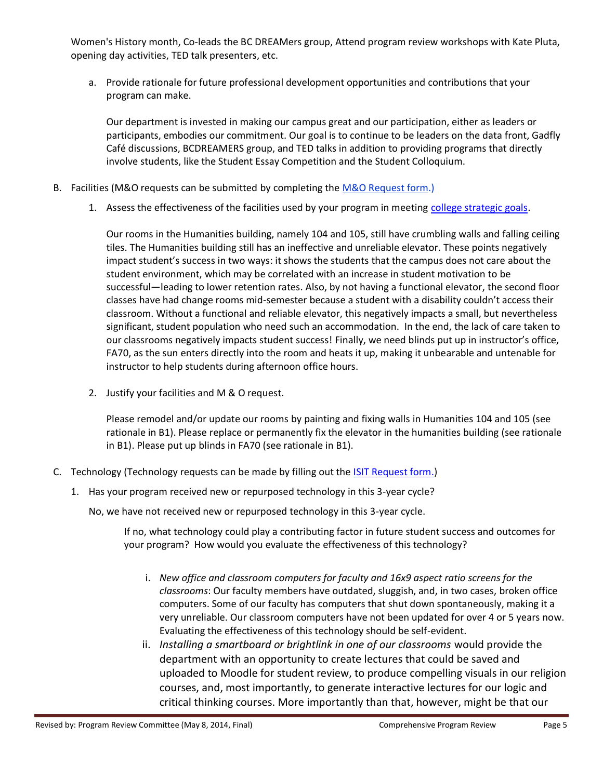Women's History month, Co-leads the BC DREAMers group, Attend program review workshops with Kate Pluta, opening day activities, TED talk presenters, etc.

a. Provide rationale for future professional development opportunities and contributions that your program can make.

Our department is invested in making our campus great and our participation, either as leaders or participants, embodies our commitment. Our goal is to continue to be leaders on the data front, Gadfly Café discussions, BCDREAMERS group, and TED talks in addition to providing programs that directly involve students, like the Student Essay Competition and the Student Colloquium.

- B. Facilities (M&O requests can be submitted by completing th[e M&O Request form.](https://committees.kccd.edu/sites/committees.kccd.edu/files/Copy%20of%2012%20M%26O%20Needs%20Workbook%2012-13%20APR.xlsx))
	- 1. Assess the effectiveness of the facilities used by your program in meeting college strategic goals.

Our rooms in the Humanities building, namely 104 and 105, still have crumbling walls and falling ceiling tiles. The Humanities building still has an ineffective and unreliable elevator. These points negatively impact student's success in two ways: it shows the students that the campus does not care about the student environment, which may be correlated with an increase in student motivation to be successful—leading to lower retention rates. Also, by not having a functional elevator, the second floor classes have had change rooms mid-semester because a student with a disability couldn't access their classroom. Without a functional and reliable elevator, this negatively impacts a small, but nevertheless significant, student population who need such an accommodation. In the end, the lack of care taken to our classrooms negatively impacts student success! Finally, we need blinds put up in instructor's office, FA70, as the sun enters directly into the room and heats it up, making it unbearable and untenable for instructor to help students during afternoon office hours.

2. Justify your facilities and M & O request.

Please remodel and/or update our rooms by painting and fixing walls in Humanities 104 and 105 (see rationale in B1). Please replace or permanently fix the elevator in the humanities building (see rationale in B1). Please put up blinds in FA70 (see rationale in B1).

- C. Technology (Technology requests can be made by filling out the [ISIT Request form.\)](http://www.bakersfieldcollege.edu/irp/Annual%20Program%20Reviews/2012-13/13%20ISIT%20Priority%20Workbook%2012-13.xlsx)
	- 1. Has your program received new or repurposed technology in this 3-year cycle?

No, we have not received new or repurposed technology in this 3-year cycle.

If no, what technology could play a contributing factor in future student success and outcomes for your program? How would you evaluate the effectiveness of this technology?

- i. *New office and classroom computers for faculty and 16x9 aspect ratio screens for the classrooms*: Our faculty members have outdated, sluggish, and, in two cases, broken office computers. Some of our faculty has computers that shut down spontaneously, making it a very unreliable. Our classroom computers have not been updated for over 4 or 5 years now. Evaluating the effectiveness of this technology should be self-evident.
- ii. *Installing a smartboard or brightlink in one of our classrooms* would provide the department with an opportunity to create lectures that could be saved and uploaded to Moodle for student review, to produce compelling visuals in our religion courses, and, most importantly, to generate interactive lectures for our logic and critical thinking courses. More importantly than that, however, might be that our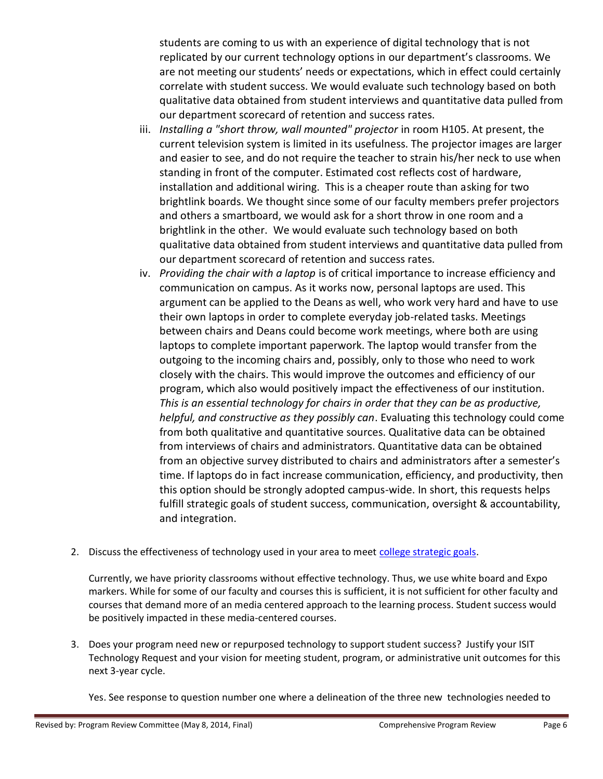students are coming to us with an experience of digital technology that is not replicated by our current technology options in our department's classrooms. We are not meeting our students' needs or expectations, which in effect could certainly correlate with student success. We would evaluate such technology based on both qualitative data obtained from student interviews and quantitative data pulled from our department scorecard of retention and success rates.

- iii. *Installing a "short throw, wall mounted" projector* in room H105. At present, the current television system is limited in its usefulness. The projector images are larger and easier to see, and do not require the teacher to strain his/her neck to use when standing in front of the computer. Estimated cost reflects cost of hardware, installation and additional wiring. This is a cheaper route than asking for two brightlink boards. We thought since some of our faculty members prefer projectors and others a smartboard, we would ask for a short throw in one room and a brightlink in the other. We would evaluate such technology based on both qualitative data obtained from student interviews and quantitative data pulled from our department scorecard of retention and success rates.
- iv. *Providing the chair with a laptop* is of critical importance to increase efficiency and communication on campus. As it works now, personal laptops are used. This argument can be applied to the Deans as well, who work very hard and have to use their own laptops in order to complete everyday job-related tasks. Meetings between chairs and Deans could become work meetings, where both are using laptops to complete important paperwork. The laptop would transfer from the outgoing to the incoming chairs and, possibly, only to those who need to work closely with the chairs. This would improve the outcomes and efficiency of our program, which also would positively impact the effectiveness of our institution. *This is an essential technology for chairs in order that they can be as productive, helpful, and constructive as they possibly can*. Evaluating this technology could come from both qualitative and quantitative sources. Qualitative data can be obtained from interviews of chairs and administrators. Quantitative data can be obtained from an objective survey distributed to chairs and administrators after a semester's time. If laptops do in fact increase communication, efficiency, and productivity, then this option should be strongly adopted campus-wide. In short, this requests helps fulfill strategic goals of student success, communication, oversight & accountability, and integration.
- 2. Discuss the effectiveness of technology used in your area to meet [college strategic goals.](http://www.bakersfieldcollege.edu/collegecouncil/BAKERSFIELD%20COLLEGE%20STRATEGIC%20FOCUS%202013-14.pdf)

Currently, we have priority classrooms without effective technology. Thus, we use white board and Expo markers. While for some of our faculty and courses this is sufficient, it is not sufficient for other faculty and courses that demand more of an media centered approach to the learning process. Student success would be positively impacted in these media-centered courses.

3. Does your program need new or repurposed technology to support student success? Justify your ISIT Technology Request and your vision for meeting student, program, or administrative unit outcomes for this next 3-year cycle.

Yes. See response to question number one where a delineation of the three new technologies needed to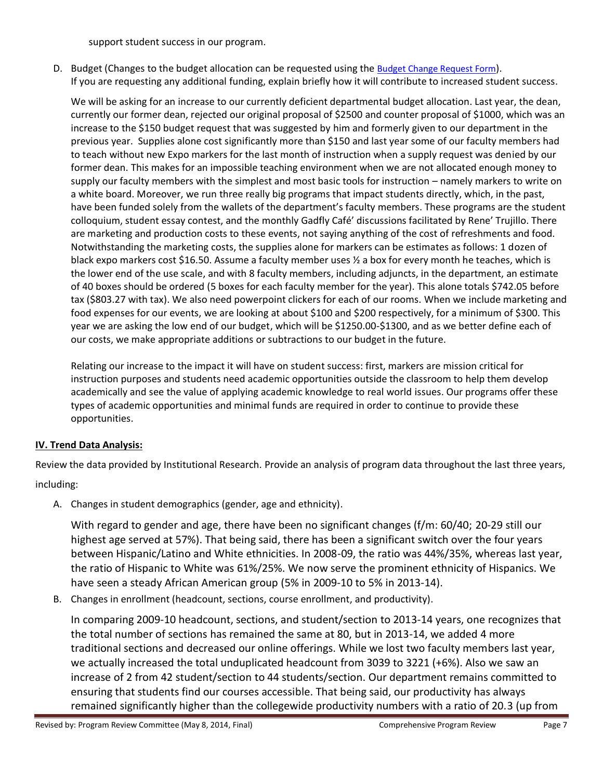support student success in our program.

D. Budget (Changes to the budget allocation can be requested using the [Budget Change Request Form](http://committees.kccd.edu/bc/committee/programreview)). If you are requesting any additional funding, explain briefly how it will contribute to increased student success.

We will be asking for an increase to our currently deficient departmental budget allocation. Last year, the dean, currently our former dean, rejected our original proposal of \$2500 and counter proposal of \$1000, which was an increase to the \$150 budget request that was suggested by him and formerly given to our department in the previous year. Supplies alone cost significantly more than \$150 and last year some of our faculty members had to teach without new Expo markers for the last month of instruction when a supply request was denied by our former dean. This makes for an impossible teaching environment when we are not allocated enough money to supply our faculty members with the simplest and most basic tools for instruction – namely markers to write on a white board. Moreover, we run three really big programs that impact students directly, which, in the past, have been funded solely from the wallets of the department's faculty members. These programs are the student colloquium, student essay contest, and the monthly Gadfly Café' discussions facilitated by Rene' Trujillo. There are marketing and production costs to these events, not saying anything of the cost of refreshments and food. Notwithstanding the marketing costs, the supplies alone for markers can be estimates as follows: 1 dozen of black expo markers cost \$16.50. Assume a faculty member uses ½ a box for every month he teaches, which is the lower end of the use scale, and with 8 faculty members, including adjuncts, in the department, an estimate of 40 boxes should be ordered (5 boxes for each faculty member for the year). This alone totals \$742.05 before tax (\$803.27 with tax). We also need powerpoint clickers for each of our rooms. When we include marketing and food expenses for our events, we are looking at about \$100 and \$200 respectively, for a minimum of \$300. This year we are asking the low end of our budget, which will be \$1250.00-\$1300, and as we better define each of our costs, we make appropriate additions or subtractions to our budget in the future.

Relating our increase to the impact it will have on student success: first, markers are mission critical for instruction purposes and students need academic opportunities outside the classroom to help them develop academically and see the value of applying academic knowledge to real world issues. Our programs offer these types of academic opportunities and minimal funds are required in order to continue to provide these opportunities.

## **IV. Trend Data Analysis:**

Review the data provided by Institutional Research. Provide an analysis of program data throughout the last three years, including:

A. Changes in student demographics (gender, age and ethnicity).

With regard to gender and age, there have been no significant changes (f/m: 60/40; 20-29 still our highest age served at 57%). That being said, there has been a significant switch over the four years between Hispanic/Latino and White ethnicities. In 2008-09, the ratio was 44%/35%, whereas last year, the ratio of Hispanic to White was 61%/25%. We now serve the prominent ethnicity of Hispanics. We have seen a steady African American group (5% in 2009-10 to 5% in 2013-14).

B. Changes in enrollment (headcount, sections, course enrollment, and productivity).

In comparing 2009-10 headcount, sections, and student/section to 2013-14 years, one recognizes that the total number of sections has remained the same at 80, but in 2013-14, we added 4 more traditional sections and decreased our online offerings. While we lost two faculty members last year, we actually increased the total unduplicated headcount from 3039 to 3221 (+6%). Also we saw an increase of 2 from 42 student/section to 44 students/section. Our department remains committed to ensuring that students find our courses accessible. That being said, our productivity has always remained significantly higher than the collegewide productivity numbers with a ratio of 20.3 (up from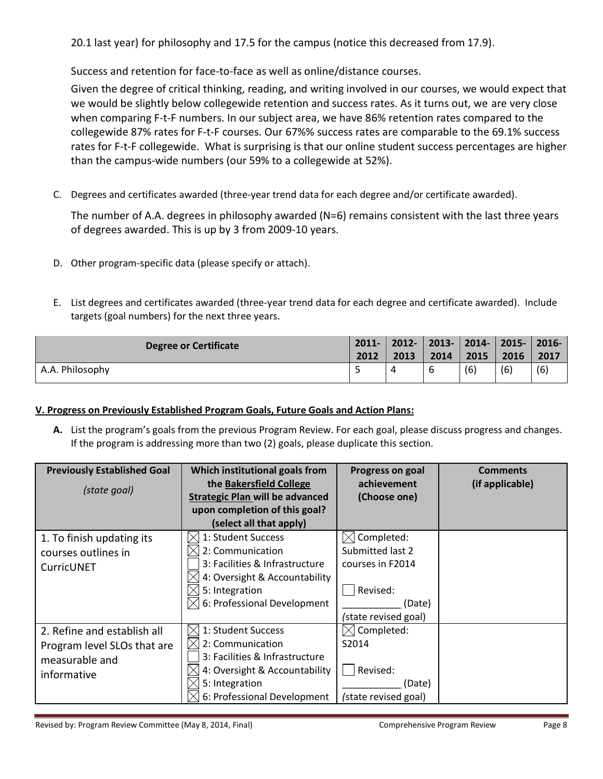20.1 last year) for philosophy and 17.5 for the campus (notice this decreased from 17.9).

Success and retention for face-to-face as well as online/distance courses.

Given the degree of critical thinking, reading, and writing involved in our courses, we would expect that we would be slightly below collegewide retention and success rates. As it turns out, we are very close when comparing F-t-F numbers. In our subject area, we have 86% retention rates compared to the collegewide 87% rates for F-t-F courses. Our 67%% success rates are comparable to the 69.1% success rates for F-t-F collegewide. What is surprising is that our online student success percentages are higher than the campus-wide numbers (our 59% to a collegewide at 52%).

C. Degrees and certificates awarded (three-year trend data for each degree and/or certificate awarded).

The number of A.A. degrees in philosophy awarded (N=6) remains consistent with the last three years of degrees awarded. This is up by 3 from 2009-10 years.

- D. Other program-specific data (please specify or attach).
- E. List degrees and certificates awarded (three-year trend data for each degree and certificate awarded). Include targets (goal numbers) for the next three years.

| Degree or Certificate | $2011 -$<br>2012 | 2012-   2013-   2014-   2015-   2016-  <br>2013 | 2014 | 2015 | 2016 | 2017 |
|-----------------------|------------------|-------------------------------------------------|------|------|------|------|
| A.A. Philosophy       |                  | 4                                               |      | (6)  | (6)  | (6)  |

# **V. Progress on Previously Established Program Goals, Future Goals and Action Plans:**

**A.** List the program's goals from the previous Program Review. For each goal, please discuss progress and changes. If the program is addressing more than two (2) goals, please duplicate this section.

| <b>Previously Established Goal</b><br>(state goal) | Which institutional goals from<br>the Bakersfield College               | Progress on goal<br>achievement | <b>Comments</b><br>(if applicable) |
|----------------------------------------------------|-------------------------------------------------------------------------|---------------------------------|------------------------------------|
|                                                    | <b>Strategic Plan will be advanced</b><br>upon completion of this goal? | (Choose one)                    |                                    |
|                                                    | (select all that apply)                                                 |                                 |                                    |
| 1. To finish updating its                          | 1: Student Success                                                      | $\boxtimes$ Completed:          |                                    |
| courses outlines in                                | 2: Communication                                                        | Submitted last 2                |                                    |
| CurricUNET                                         | 3: Facilities & Infrastructure                                          | courses in F2014                |                                    |
|                                                    | 4: Oversight & Accountability                                           |                                 |                                    |
|                                                    | 5: Integration                                                          | Revised:                        |                                    |
|                                                    | $\times$ 6: Professional Development                                    | (Date)                          |                                    |
|                                                    |                                                                         | (state revised goal)            |                                    |
| 2. Refine and establish all                        | 1: Student Success                                                      | Completed:                      |                                    |
| Program level SLOs that are                        | 2: Communication                                                        | S2014                           |                                    |
| measurable and                                     | 3: Facilities & Infrastructure                                          |                                 |                                    |
| informative                                        | 4: Oversight & Accountability                                           | Revised:                        |                                    |
|                                                    | 5: Integration                                                          | (Date)                          |                                    |
|                                                    | 6: Professional Development                                             | (state revised goal)            |                                    |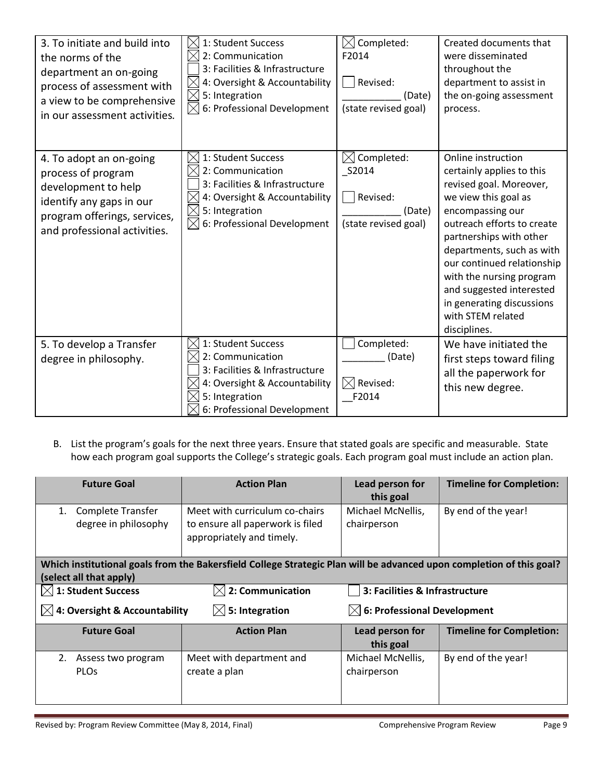| 3. To initiate and build into<br>the norms of the<br>department an on-going<br>process of assessment with<br>a view to be comprehensive<br>in our assessment activities. | 1: Student Success<br>IХ<br>$\boxtimes$<br>2: Communication<br>3: Facilities & Infrastructure<br>$\times$<br>4: Oversight & Accountability<br>5: Integration<br>$\times$<br>$\times$<br>6: Professional Development | Completed:<br>F2014<br>Revised:<br>(Date)<br>(state revised goal)        | Created documents that<br>were disseminated<br>throughout the<br>department to assist in<br>the on-going assessment<br>process.                                                                                                                                                                                                                                      |
|--------------------------------------------------------------------------------------------------------------------------------------------------------------------------|---------------------------------------------------------------------------------------------------------------------------------------------------------------------------------------------------------------------|--------------------------------------------------------------------------|----------------------------------------------------------------------------------------------------------------------------------------------------------------------------------------------------------------------------------------------------------------------------------------------------------------------------------------------------------------------|
| 4. To adopt an on-going<br>process of program<br>development to help<br>identify any gaps in our<br>program offerings, services,<br>and professional activities.         | 1: Student Success<br>2: Communication<br>3: Facilities & Infrastructure<br>4: Oversight & Accountability<br>$\boxtimes$<br>5: Integration<br>$\boxtimes$<br>6: Professional Development                            | Completed:<br>IХI<br>S2014<br>Revised:<br>(Date)<br>(state revised goal) | Online instruction<br>certainly applies to this<br>revised goal. Moreover,<br>we view this goal as<br>encompassing our<br>outreach efforts to create<br>partnerships with other<br>departments, such as with<br>our continued relationship<br>with the nursing program<br>and suggested interested<br>in generating discussions<br>with STEM related<br>disciplines. |
| 5. To develop a Transfer<br>degree in philosophy.                                                                                                                        | 1: Student Success<br>$\times$<br>2: Communication<br>3: Facilities & Infrastructure<br>4: Oversight & Accountability<br>5: Integration<br>6: Professional Development                                              | Completed:<br>(Date)<br>$\boxtimes$ Revised:<br>F2014                    | We have initiated the<br>first steps toward filing<br>all the paperwork for<br>this new degree.                                                                                                                                                                                                                                                                      |

B. List the program's goals for the next three years. Ensure that stated goals are specific and measurable. State how each program goal supports the College's strategic goals. Each program goal must include an action plan.

| <b>Future Goal</b>                        | <b>Action Plan</b>                                                                                                   | Lead person for<br>this goal            | <b>Timeline for Completion:</b> |
|-------------------------------------------|----------------------------------------------------------------------------------------------------------------------|-----------------------------------------|---------------------------------|
| Complete Transfer<br>degree in philosophy | Meet with curriculum co-chairs<br>to ensure all paperwork is filed<br>appropriately and timely.                      | Michael McNellis,<br>chairperson        | By end of the year!             |
| (select all that apply)                   | Which institutional goals from the Bakersfield College Strategic Plan will be advanced upon completion of this goal? |                                         |                                 |
| $[ \times]$ 1: Student Success            | $\boxtimes$ 2: Communication                                                                                         | 3: Facilities & Infrastructure          |                                 |
| $[$ 4: Oversight & Accountability         | $\boxtimes$ 5: Integration                                                                                           | $\boxtimes$ 6: Professional Development |                                 |
| <b>Future Goal</b>                        | <b>Action Plan</b>                                                                                                   | Lead person for<br>this goal            | <b>Timeline for Completion:</b> |
| 2.<br>Assess two program<br><b>PLOS</b>   | Meet with department and<br>create a plan                                                                            | Michael McNellis,<br>chairperson        | By end of the year!             |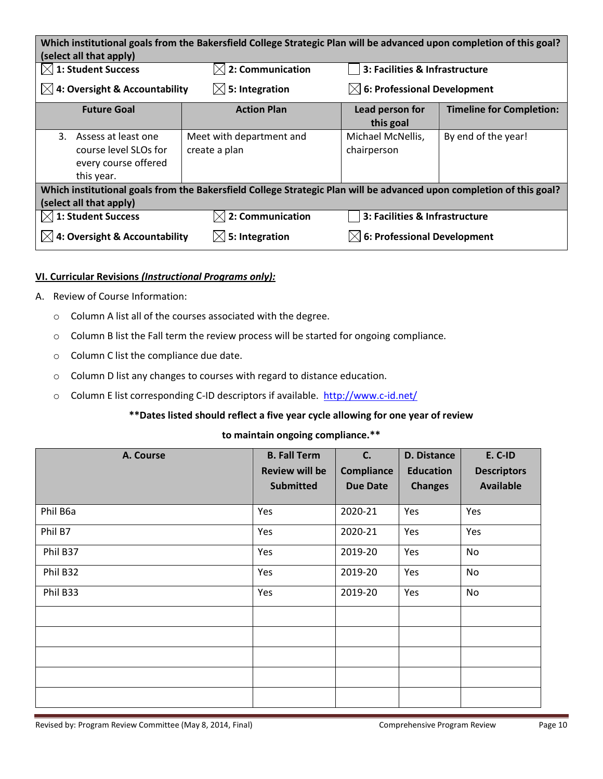| Which institutional goals from the Bakersfield College Strategic Plan will be advanced upon completion of this goal?<br>(select all that apply) |                                           |                                         |                                 |  |
|-------------------------------------------------------------------------------------------------------------------------------------------------|-------------------------------------------|-----------------------------------------|---------------------------------|--|
| $[ \times]$ 1: Student Success                                                                                                                  | $\boxtimes$ 2: Communication              | 3: Facilities & Infrastructure          |                                 |  |
| $[$ 4: Oversight & Accountability                                                                                                               | $\boxtimes$ 5: Integration                | $\boxtimes$ 6: Professional Development |                                 |  |
| <b>Future Goal</b>                                                                                                                              | <b>Action Plan</b>                        | Lead person for<br>this goal            | <b>Timeline for Completion:</b> |  |
| 3. Assess at least one<br>course level SLOs for<br>every course offered<br>this year.                                                           | Meet with department and<br>create a plan | Michael McNellis,<br>chairperson        | By end of the year!             |  |
| Which institutional goals from the Bakersfield College Strategic Plan will be advanced upon completion of this goal?<br>(select all that apply) |                                           |                                         |                                 |  |
| $\vert\angle\vert$ 1: Student Success                                                                                                           | $\boxtimes$ 2: Communication              | 3: Facilities & Infrastructure          |                                 |  |
| $\boxtimes$ 4: Oversight & Accountability                                                                                                       | $\boxtimes$ 5: Integration                | 6: Professional Development             |                                 |  |

#### **VI. Curricular Revisions** *(Instructional Programs only):*

- A. Review of Course Information:
	- o Column A list all of the courses associated with the degree.
	- o Column B list the Fall term the review process will be started for ongoing compliance.
	- o Column C list the compliance due date.
	- o Column D list any changes to courses with regard to distance education.
	- o Column E list corresponding C-ID descriptors if available. <http://www.c-id.net/>

## **\*\*Dates listed should reflect a five year cycle allowing for one year of review**

#### **to maintain ongoing compliance.\*\***

| A. Course | <b>B. Fall Term</b>   | C.              | D. Distance      | E. C-ID            |
|-----------|-----------------------|-----------------|------------------|--------------------|
|           | <b>Review will be</b> | Compliance      | <b>Education</b> | <b>Descriptors</b> |
|           | <b>Submitted</b>      | <b>Due Date</b> | <b>Changes</b>   | <b>Available</b>   |
| Phil B6a  | Yes                   | 2020-21         | Yes              | Yes                |
| Phil B7   | Yes                   | 2020-21         | Yes              | Yes                |
| Phil B37  | Yes                   | 2019-20         | Yes              | No                 |
| Phil B32  | Yes                   | 2019-20         | Yes              | No                 |
| Phil B33  | Yes                   | 2019-20         | Yes              | No                 |
|           |                       |                 |                  |                    |
|           |                       |                 |                  |                    |
|           |                       |                 |                  |                    |
|           |                       |                 |                  |                    |
|           |                       |                 |                  |                    |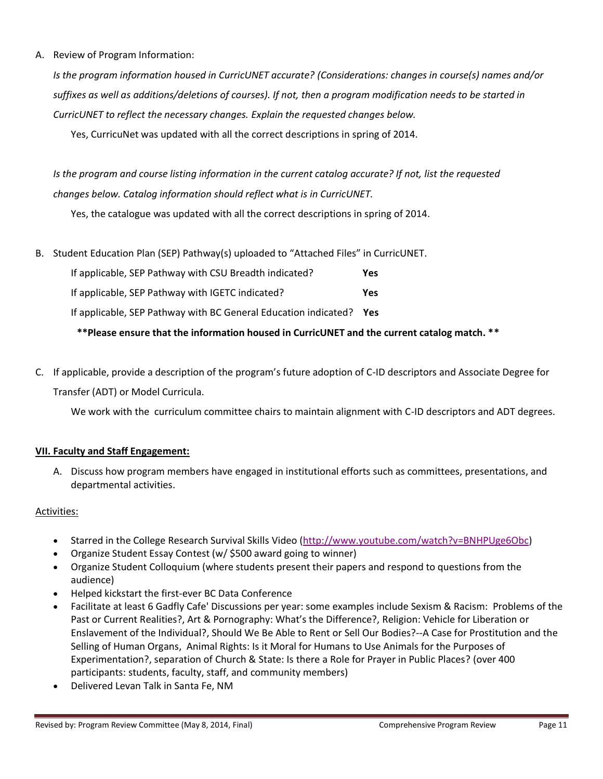A. Review of Program Information:

*Is the program information housed in CurricUNET accurate? (Considerations: changes in course(s) names and/or suffixes as well as additions/deletions of courses). If not, then a program modification needs to be started in CurricUNET to reflect the necessary changes. Explain the requested changes below.*

Yes, CurricuNet was updated with all the correct descriptions in spring of 2014.

*Is the program and course listing information in the current catalog accurate? If not, list the requested changes below. Catalog information should reflect what is in CurricUNET.*

Yes, the catalogue was updated with all the correct descriptions in spring of 2014.

B. Student Education Plan (SEP) Pathway(s) uploaded to "Attached Files" in CurricUNET.

| If applicable, SEP Pathway with CSU Breadth indicated?          | Yes        |
|-----------------------------------------------------------------|------------|
| If applicable, SEP Pathway with IGETC indicated?                | Yes        |
| If applicable, SEP Pathway with BC General Education indicated? | <b>Yes</b> |

 **\*\*Please ensure that the information housed in CurricUNET and the current catalog match. \*\***

C. If applicable, provide a description of the program's future adoption of C-ID descriptors and Associate Degree for Transfer (ADT) or Model Curricula.

We work with the curriculum committee chairs to maintain alignment with C-ID descriptors and ADT degrees.

#### **VII. Faculty and Staff Engagement:**

A. Discuss how program members have engaged in institutional efforts such as committees, presentations, and departmental activities.

#### Activities:

- Starred in the College Research Survival Skills Video [\(http://www.youtube.com/watch?v=BNHPUge6Obc\)](https://owa.kccd.edu/owa/redir.aspx?C=Ogj1Ri4daUyE2RyhDSCTQ-htc7FkqdEI2ASAoQ98L8In_Ckl34M6iQwQ_yGmJg6BwACzHxsrwqc.&URL=http%3a%2f%2fwww.youtube.com%2fwatch%3fv%3dBNHPUge6Obc)
- Organize Student Essay Contest (w/ \$500 award going to winner)
- Organize Student Colloquium (where students present their papers and respond to questions from the audience)
- Helped kickstart the first-ever BC Data Conference
- Facilitate at least 6 Gadfly Cafe' Discussions per year: some examples include Sexism & Racism: Problems of the Past or Current Realities?, Art & Pornography: What's the Difference?, Religion: Vehicle for Liberation or Enslavement of the Individual?, Should We Be Able to Rent or Sell Our Bodies?--A Case for Prostitution and the Selling of Human Organs, Animal Rights: Is it Moral for Humans to Use Animals for the Purposes of Experimentation?, separation of Church & State: Is there a Role for Prayer in Public Places? (over 400 participants: students, faculty, staff, and community members)
- Delivered Levan Talk in Santa Fe, NM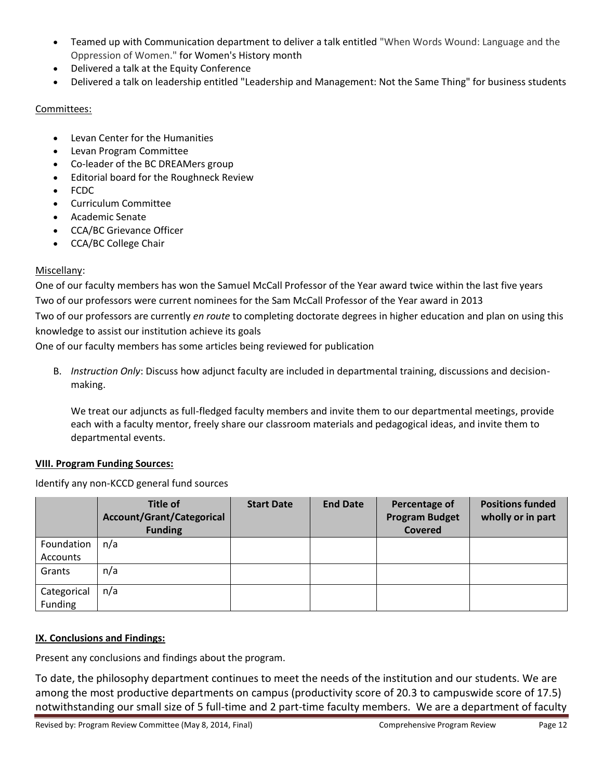- Teamed up with Communication department to deliver a talk entitled "When Words Wound: Language and the Oppression of Women." for Women's History month
- Delivered a talk at the Equity Conference
- Delivered a talk on leadership entitled "Leadership and Management: Not the Same Thing" for business students

# Committees:

- Levan Center for the Humanities
- Levan Program Committee
- Co-leader of the BC DREAMers group
- Editorial board for the Roughneck Review
- FCDC
- Curriculum Committee
- Academic Senate
- CCA/BC Grievance Officer
- CCA/BC College Chair

# Miscellany:

One of our faculty members has won the Samuel McCall Professor of the Year award twice within the last five years Two of our professors were current nominees for the Sam McCall Professor of the Year award in 2013 Two of our professors are currently *en route* to completing doctorate degrees in higher education and plan on using this knowledge to assist our institution achieve its goals

One of our faculty members has some articles being reviewed for publication

B. *Instruction Only*: Discuss how adjunct faculty are included in departmental training, discussions and decisionmaking.

We treat our adjuncts as full-fledged faculty members and invite them to our departmental meetings, provide each with a faculty mentor, freely share our classroom materials and pedagogical ideas, and invite them to departmental events.

## **VIII. Program Funding Sources:**

Identify any non-KCCD general fund sources

|                        | Title of<br>Account/Grant/Categorical<br><b>Funding</b> | <b>Start Date</b> | <b>End Date</b> | Percentage of<br><b>Program Budget</b><br><b>Covered</b> | <b>Positions funded</b><br>wholly or in part |
|------------------------|---------------------------------------------------------|-------------------|-----------------|----------------------------------------------------------|----------------------------------------------|
| Foundation<br>Accounts | n/a                                                     |                   |                 |                                                          |                                              |
| Grants                 | n/a                                                     |                   |                 |                                                          |                                              |
| Categorical<br>Funding | n/a                                                     |                   |                 |                                                          |                                              |

# **IX. Conclusions and Findings:**

Present any conclusions and findings about the program.

To date, the philosophy department continues to meet the needs of the institution and our students. We are among the most productive departments on campus (productivity score of 20.3 to campuswide score of 17.5) notwithstanding our small size of 5 full-time and 2 part-time faculty members. We are a department of faculty